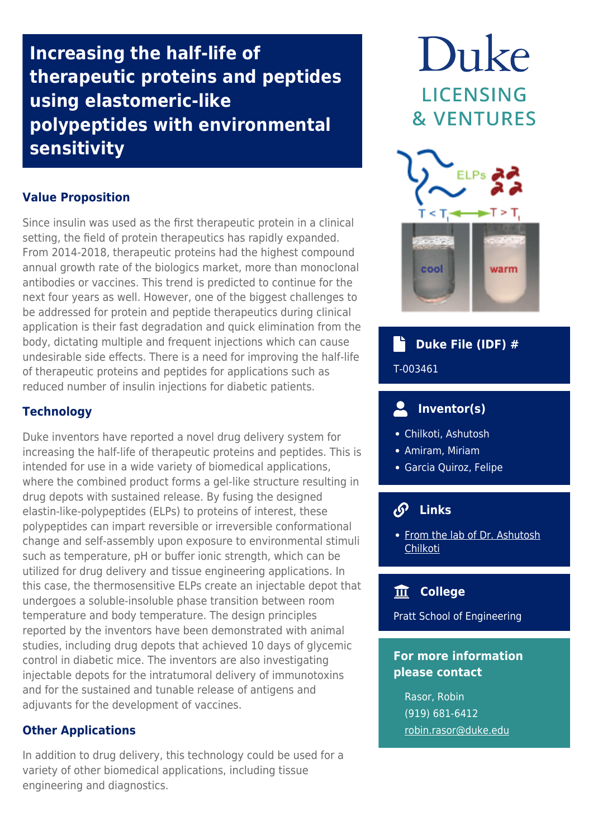**Increasing the half-life of therapeutic proteins and peptides using elastomeric-like polypeptides with environmental sensitivity**

## **Value Proposition**

Since insulin was used as the first therapeutic protein in a clinical setting, the field of protein therapeutics has rapidly expanded. From 2014-2018, therapeutic proteins had the highest compound annual growth rate of the biologics market, more than monoclonal antibodies or vaccines. This trend is predicted to continue for the next four years as well. However, one of the biggest challenges to be addressed for protein and peptide therapeutics during clinical application is their fast degradation and quick elimination from the body, dictating multiple and frequent injections which can cause undesirable side effects. There is a need for improving the half-life of therapeutic proteins and peptides for applications such as reduced number of insulin injections for diabetic patients.

## **Technology**

Duke inventors have reported a novel drug delivery system for increasing the half-life of therapeutic proteins and peptides. This is intended for use in a wide variety of biomedical applications, where the combined product forms a gel-like structure resulting in drug depots with sustained release. By fusing the designed elastin-like-polypeptides (ELPs) to proteins of interest, these polypeptides can impart reversible or irreversible conformational change and self-assembly upon exposure to environmental stimuli such as temperature, pH or buffer ionic strength, which can be utilized for drug delivery and tissue engineering applications. In this case, the thermosensitive ELPs create an injectable depot that undergoes a soluble-insoluble phase transition between room temperature and body temperature. The design principles reported by the inventors have been demonstrated with animal studies, including drug depots that achieved 10 days of glycemic control in diabetic mice. The inventors are also investigating injectable depots for the intratumoral delivery of immunotoxins and for the sustained and tunable release of antigens and adjuvants for the development of vaccines.

# **Other Applications**

In addition to drug delivery, this technology could be used for a variety of other biomedical applications, including tissue engineering and diagnostics.

# Duke **LICENSING & VENTURES**



#### Ê  **Duke File (IDF) #**

T-003461

#### $\bullet$  **Inventor(s)**

- Chilkoti, Ashutosh
- Amiram, Miriam
- Garcia Quiroz, Felipe

#### $\mathcal{S}$  **Links**

• [From the lab of Dr. Ashutosh](https://chilkotilab.pratt.duke.edu/content/injectable-elp-depots-drug-delivery) [Chilkoti](https://chilkotilab.pratt.duke.edu/content/injectable-elp-depots-drug-delivery)

# **College**

Pratt School of Engineering

# **For more information please contact**

Rasor, Robin (919) 681-6412 [robin.rasor@duke.edu](mailto:robin.rasor@duke.edu)